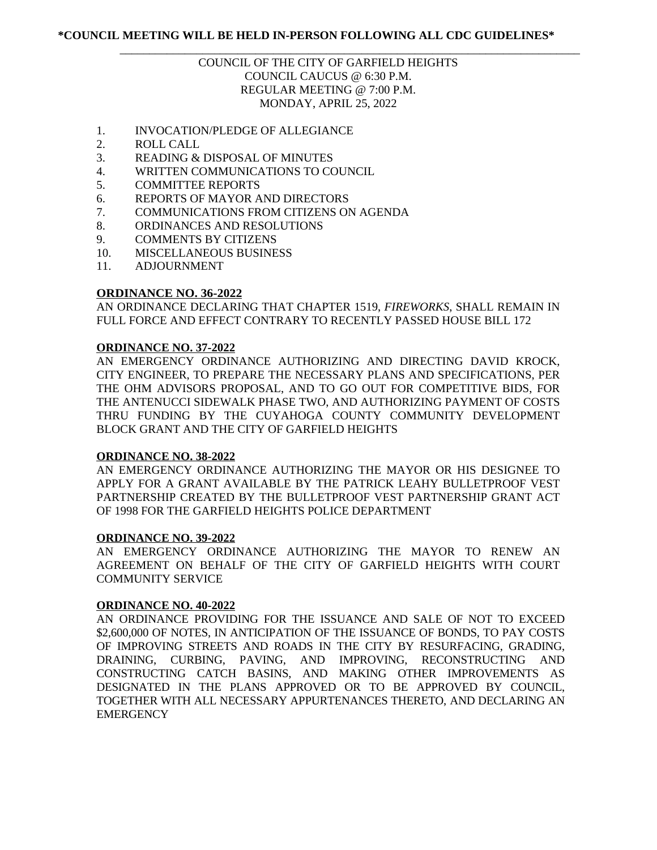# COUNCIL OF THE CITY OF GARFIELD HEIGHTS COUNCIL CAUCUS @ 6:30 P.M. REGULAR MEETING @ 7:00 P.M. MONDAY, APRIL 25, 2022

\_\_\_\_\_\_\_\_\_\_\_\_\_\_\_\_\_\_\_\_\_\_\_\_\_\_\_\_\_\_\_\_\_\_\_\_\_\_\_\_\_\_\_\_\_\_\_\_\_\_\_\_\_\_\_\_\_\_\_\_\_\_\_\_\_\_\_\_\_\_\_\_\_\_\_\_\_\_

- 1. INVOCATION/PLEDGE OF ALLEGIANCE
- 2. ROLL CALL
- 3. READING & DISPOSAL OF MINUTES
- 4. WRITTEN COMMUNICATIONS TO COUNCIL
- 5. COMMITTEE REPORTS
- 6. REPORTS OF MAYOR AND DIRECTORS
- 7. COMMUNICATIONS FROM CITIZENS ON AGENDA
- 8. ORDINANCES AND RESOLUTIONS
- 9. COMMENTS BY CITIZENS
- 10. MISCELLANEOUS BUSINESS
- 11. ADJOURNMENT

### **ORDINANCE NO. 36-2022**

AN ORDINANCE DECLARING THAT CHAPTER 1519, *FIREWORKS*, SHALL REMAIN IN FULL FORCE AND EFFECT CONTRARY TO RECENTLY PASSED HOUSE BILL 172

### **ORDINANCE NO. 37-2022**

AN EMERGENCY ORDINANCE AUTHORIZING AND DIRECTING DAVID KROCK, CITY ENGINEER, TO PREPARE THE NECESSARY PLANS AND SPECIFICATIONS, PER THE OHM ADVISORS PROPOSAL, AND TO GO OUT FOR COMPETITIVE BIDS, FOR THE ANTENUCCI SIDEWALK PHASE TWO, AND AUTHORIZING PAYMENT OF COSTS THRU FUNDING BY THE CUYAHOGA COUNTY COMMUNITY DEVELOPMENT BLOCK GRANT AND THE CITY OF GARFIELD HEIGHTS

### **ORDINANCE NO. 38-2022**

AN EMERGENCY ORDINANCE AUTHORIZING THE MAYOR OR HIS DESIGNEE TO APPLY FOR A GRANT AVAILABLE BY THE PATRICK LEAHY BULLETPROOF VEST PARTNERSHIP CREATED BY THE BULLETPROOF VEST PARTNERSHIP GRANT ACT OF 1998 FOR THE GARFIELD HEIGHTS POLICE DEPARTMENT

### **ORDINANCE NO. 39-2022**

AN EMERGENCY ORDINANCE AUTHORIZING THE MAYOR TO RENEW AN AGREEMENT ON BEHALF OF THE CITY OF GARFIELD HEIGHTS WITH COURT COMMUNITY SERVICE

### **ORDINANCE NO. 40-2022**

AN ORDINANCE PROVIDING FOR THE ISSUANCE AND SALE OF NOT TO EXCEED \$2,600,000 OF NOTES, IN ANTICIPATION OF THE ISSUANCE OF BONDS, TO PAY COSTS OF IMPROVING STREETS AND ROADS IN THE CITY BY RESURFACING, GRADING, DRAINING, CURBING, PAVING, AND IMPROVING, RECONSTRUCTING AND CONSTRUCTING CATCH BASINS, AND MAKING OTHER IMPROVEMENTS AS DESIGNATED IN THE PLANS APPROVED OR TO BE APPROVED BY COUNCIL, TOGETHER WITH ALL NECESSARY APPURTENANCES THERETO, AND DECLARING AN **EMERGENCY**